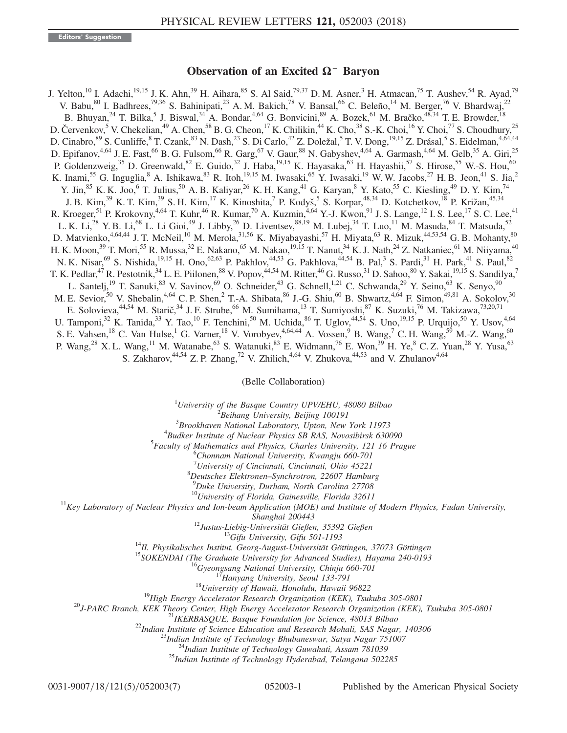## Observation of an Excited Ω<sup>−</sup> Baryon

J. Yelton,<sup>10</sup> I. Adachi,<sup>19,15</sup> J. K. Ahn,<sup>39</sup> H. Aihara,<sup>85</sup> S. Al Said,<sup>79,37</sup> D. M. Asner,<sup>3</sup> H. Atmacan,<sup>75</sup> T. Aushev,<sup>54</sup> R. Ayad,<sup>79</sup> V. Babu,<sup>80</sup> I. Badhrees,<sup>79,36</sup> S. Bahinipati,<sup>23</sup> A. M. Bakich,<sup>78</sup> V. Bansal,<sup>66</sup> C. Beleño,<sup>14</sup> M. Berger,<sup>76</sup> V. Bhardwaj,<sup>22</sup> B. Bhuyan,  $^{24}$  T. Bilka,  $^5$  J. Biswal,  $^{34}$  A. Bondar,  $^{4,64}$  G. Bonvicini,  $^{89}$  A. Bozek,  $^{61}$  M. Bračko,  $^{48,34}$  T. E. Browder,  $^{18}$ D. Červenkov, <sup>5</sup> V. Chekelian, <sup>49</sup> A. Chen, <sup>58</sup> B. G. Cheon, <sup>17</sup> K. Chilikin, <sup>44</sup> K. Cho, <sup>38</sup> S.-K. Choi, <sup>16</sup> Y. Choi, <sup>77</sup> S. Choudhury, <sup>25</sup> D. Cinabro, <sup>89</sup> S. Cunliffe, <sup>8</sup> T. Czank, <sup>83</sup> N. Dash, <sup>23</sup> S. Di Carlo, <sup>42</sup> Z. Doležal, 5 T. V. Dong, <sup>19,15</sup> Z. Drásal, 5 S. Eidelman, <sup>4,64,44</sup> D. Epifanov,<sup>4,64</sup> J. E. Fast,<sup>66</sup> B. G. Fulsom,<sup>66</sup> R. Garg,<sup>67</sup> V. Gaur,<sup>88</sup> N. Gabyshev,<sup>4,64</sup> A. Garmash,<sup>4,64</sup> M. Gelb,<sup>35</sup> A. Giri,<sup>25</sup> P. Goldenzweig,<sup>35</sup> D. Greenwald,<sup>82</sup> E. Guido,<sup>32</sup> J. Haba,<sup>19,15</sup> K. Hayasaka,<sup>63</sup> H. Hayashii,<sup>57</sup> S. Hirose,<sup>55</sup> W.-S. Hou,<sup>60</sup> K. Inami,<sup>55</sup> G. Inguglia,<sup>8</sup> A. Ishikawa,<sup>83</sup> R. Itoh,<sup>19,15</sup> M. Iwasaki,<sup>65</sup> Y. Iwasaki,<sup>19</sup> W. W. Jacobs,<sup>27</sup> H. B. Jeon,<sup>41</sup> S. Jia,<sup>2</sup> Y. Jin,<sup>85</sup> K. K. Joo,<sup>6</sup> T. Julius,<sup>50</sup> A. B. Kaliyar,<sup>26</sup> K. H. Kang,<sup>41</sup> G. Karyan,<sup>8</sup> Y. Kato,<sup>55</sup> C. Kiesling,<sup>49</sup> D. Y. Kim,<sup>74</sup> J. B. Kim,<sup>39</sup> K. T. Kim,<sup>39</sup> S. H. Kim,<sup>17</sup> K. Kinoshita,<sup>7</sup> P. Kodyš,<sup>5</sup> S. Korpar,<sup>48,34</sup> D. Kotchetkov,<sup>18</sup> P. Križan,<sup>45,34</sup> R. Kroeger, <sup>51</sup> P. Krokovny, <sup>4,64</sup> T. Kuhr, <sup>46</sup> R. Kumar, <sup>70</sup> A. Kuzmin, <sup>4,64</sup> Y.-J. Kwon, <sup>91</sup> J. S. Lange, <sup>12</sup> I. S. Lee, <sup>17</sup> S. C. Lee, <sup>41</sup> L. K. Li,<sup>28</sup> Y. B. Li,<sup>68</sup> L. Li Gioi,<sup>49</sup> J. Libby,<sup>26</sup> D. Liventsev,<sup>88,19</sup> M. Lubej,<sup>34</sup> T. Luo,<sup>11</sup> M. Masuda,<sup>84</sup> T. Matsuda,<sup>52</sup> D. Matvienko,  $4,64,44$  J. T. McNeil,  $10^1$  M. Merola,  $31,56$  K. Miyabayashi,  $57$  H. Miyata,  $63$  R. Mizuk,  $44,53,54$  G. B. Mohanty,  $80$ H. K. Moon,<sup>39</sup> T. Mori,<sup>55</sup> R. Mussa,<sup>32</sup> E. Nakano,<sup>65</sup> M. Nakao,<sup>19,15</sup> T. Nanut,<sup>34</sup> K. J. Nath,<sup>24</sup> Z. Natkaniec,<sup>61</sup> M. Niiyama,<sup>40</sup> N. K. Nisar,<sup>69</sup> S. Nishida,<sup>19,15</sup> H. Ono,<sup>62,63</sup> P. Pakhlov,<sup>44,53</sup> G. Pakhlova,<sup>44,54</sup> B. Pal,<sup>3</sup> S. Pardi,<sup>31</sup> H. Park,<sup>41</sup> S. Paul,<sup>82</sup> T. K. Pedlar,<sup>47</sup> R. Pestotnik,<sup>34</sup> L. E. Piilonen,<sup>88</sup> V. Popov,<sup>44,54</sup> M. Ritter,<sup>46</sup> G. Russo,<sup>31</sup> D. Sahoo,<sup>80</sup> Y. Sakai,<sup>19,15</sup> S. Sandilya,<sup>7</sup> L. Santelj,<sup>19</sup> T. Sanuki,<sup>83</sup> V. Savinov,<sup>69</sup> O. Schneider,<sup>43</sup> G. Schnell,<sup>1,21</sup> C. Schwanda,<sup>29</sup> Y. Seino,<sup>63</sup> K. Senyo,<sup>90</sup> M. E. Sevior,<sup>50</sup> V. Shebalin,<sup>4,64</sup> C. P. Shen,<sup>2</sup> T.-A. Shibata,<sup>86</sup> J.-G. Shiu,<sup>60</sup> B. Shwartz,<sup>4,64</sup> F. Simon,<sup>49,81</sup> A. Sokolov,<sup>30</sup> E. Solovieva, <sup>44,54</sup> M. Starič, <sup>34</sup> J. F. Strube, <sup>66</sup> M. Sumihama, <sup>13</sup> T. Sumiyoshi, <sup>87</sup> K. Suzuki, <sup>76</sup> M. Takizawa, <sup>73,20,71</sup> U. Tamponi,<sup>32</sup> K. Tanida,<sup>33</sup> Y. Tao,<sup>10</sup> F. Tenchini,<sup>50</sup> M. Uchida,<sup>86</sup> T. Uglov,<sup>44,54</sup> S. Uno,<sup>19,15</sup> P. Urquijo,<sup>50</sup> Y. Usov,<sup>4,64</sup> S. E. Vahsen,<sup>18</sup> C. Van Hulse,<sup>1</sup> G. Varner,<sup>18</sup> V. Vorobyev,<sup>4,64,44</sup> A. Vossen,<sup>9</sup> B. Wang,<sup>7</sup> C. H. Wang,<sup>59</sup> M.-Z. Wang,<sup>60</sup> P. Wang,<sup>28</sup> X. L. Wang,<sup>11</sup> M. Watanabe,<sup>63</sup> S. Watanuki,<sup>83</sup> E. Widmann,<sup>76</sup> E. Won,<sup>39</sup> H. Ye,<sup>8</sup> C. Z. Yuan,<sup>28</sup> Y. Yusa,<sup>63</sup> S. Zakharov,<sup>44,54</sup> Z. P. Zhang,<sup>72</sup> V. Zhilich,<sup>4,64</sup> V. Zhukova,<sup>44,53</sup> and V. Zhulanov<sup>4,64</sup>

(Belle Collaboration)

<sup>1</sup>University of the Basque Country UPV/EHU, 48080 Bilbao  $\frac{2 \text{ B} \text{o}}{2 \text{ B} \text{o}}$  Integration Beiling 100101

 $B$ eihang University, Beijing 100191

 $3B$ rookhaven National Laboratory, Upton, New York 11973

 ${}^{4}$ Budker Institute of Nuclear Physics SB RAS, Novosibirsk 630090

 $5$ Faculty of Mathematics and Physics, Charles University, 121 16 Prague

 ${}^{6}$ Chonnam National University, Kwangju 660-701

<sup>7</sup>University of Cincinnati, Cincinnati, Ohio 45221<sup>8</sup>Daytashus Elektron an Synahustran, 22607 Hambus

 ${}^{8}$ Deutsches Elektronen–Synchrotron, 22607 Hamburg

<sup>9</sup>Duke University, Durham, North Carolina 27708<br><sup>10</sup>University of Florida, Gainesville, Florida 32611

 $11$ Key Laboratory of Nuclear Physics and Ion-beam Application (MOE) and Institute of Modern Physics, Fudan University,

 $\footnotesize \begin{tabular}{c} \textit{3}{{\small \texttt{2}}} \textit{3} & \textit{5} \textit{hanghai 200443}\\ \textit{1} & \textit{1} \textit{2} \textit{Just.} \textit{Lebig-University} \textit{Gifipa 501-1193}\\ \textit{1} & \textit{1} \textit{3} \textit{Gifipa University} \textit{Gifipa 501-1193}\\ \textit{1} & \textit{1} \textit{3} \textit{5} & \textit{3} \textit{6} & \textit{5} \textit{7} \textit{6} \\ \textit{1} &$ 

0031-9007/18/121(5)/052003(7) 052003-1 Published by the American Physical Society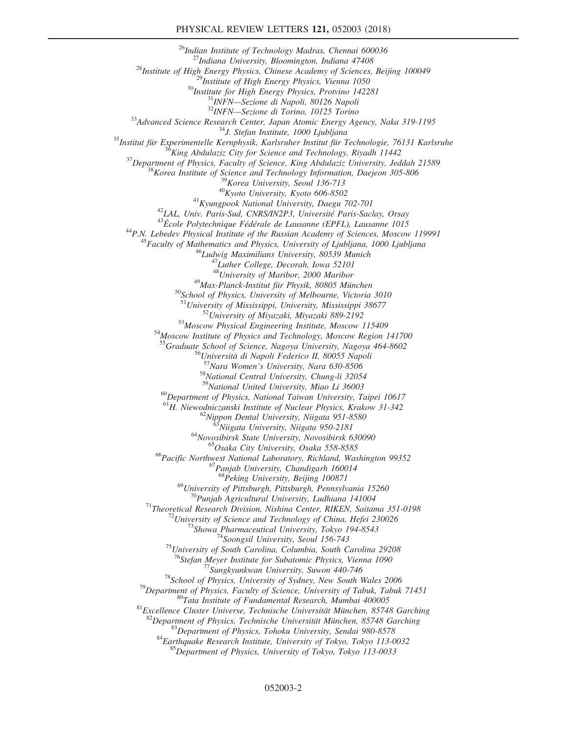$\begin{tabular}{c|c} \multicolumn{4}{c}{ \begin{tabular}{l} $^{26}$} \multicolumn{4}{c}{\begin{tabular}{l} $^{26}$} \multicolumn{4}{c}{\begin{tabular}{l} $^{26}$} \multicolumn{4}{c}{\begin{tabular}{l} $^{26}$} \multicolumn{4}{c}{\begin{tabular}{l} $^{28}$} \multicolumn{4}{c}{\begin{tabular}{l} $^{28}$} \multicolumn{4}{c}{\begin{tabular}{l} $^{28}$} \multicolumn{4}{c}{\begin{tabular}{l} $^{28}$} \multicolumn{4}{c}{\begin{tabular}{l} $^{28}$} \multic$ <sup>49</sup>Max-Planck-Institut für Physik, 80805 München<br><sup>50</sup>School of Physics, University of Melbourne, Victoria 3010<br><sup>51</sup>University of Mississippi, University, Mississippi 38677  $52$ University of Miyazaki, Miyazaki 889-2192<br>  $53$ Moscow Physical Engineering Institute, Moscow 115409  $54$ Moscow Institute of Physics and Technology, Moscow Region 141700 <sup>55</sup>Graduate School of Science, Nagoya University, Nagoya 464-8602<br>
<sup>56</sup>Università di Napoli Federico II, 80055 Napoli<br>
<sup>57</sup>Nara Women's University, Nara 630-8506<br>
<sup>58</sup>National Central University, Chung-li 32054<br>
<sup>59</sup>Nati  $^{60}$ Department of Physics, National Taiwan University, Taipei 10617<br><sup>61</sup>H. Niewodniczanski Institute of Nuclear Physics, Krakow 31-342 <sup>62</sup>Nippon Dental University, Niigata 951-8580<br><sup>63</sup>Niigata University, Niigata 950-2181<br><sup>64</sup>Novosibirsk State University, Novosibirsk 630090<br><sup>65</sup>Osaka City University, Osaka 558-8585<br><sup>66</sup>Pacific Northwest National Laborat  $^{68}$ Peking University, Beijing 100871<br><sup>69</sup>University of Pittsburgh, Pittsburgh, Pennsylvania 15260 <sup>70</sup>Punjab Agricultural University, Ludhiana 141004<br><sup>71</sup>Theoretical Research Division, Nishina Center, RIKEN, Saitama 351-0198<br><sup>72</sup>University of Science and Technology of China, Hefei 230026<br><sup>73</sup>Showa Pharmaceutical Unive <sup>77</sup>Sungkyunkwan University, Suwon 440-746<br><sup>78</sup>School of Physics, University of Sydney, New South Wales 2006<br><sup>79</sup>Department of Physics, Faculty of Science, University of Tabuk, Tabuk 71451<br><sup>80</sup>Tata Institute of Fundamenta <sup>83</sup>Department of Physics, Tohoku University, Sendai 980-8578<br><sup>84</sup>Earthquake Research Institute, University of Tokyo, Tokyo 113-0032<br><sup>85</sup>Department of Physics, University of Tokyo, Tokyo 113-0033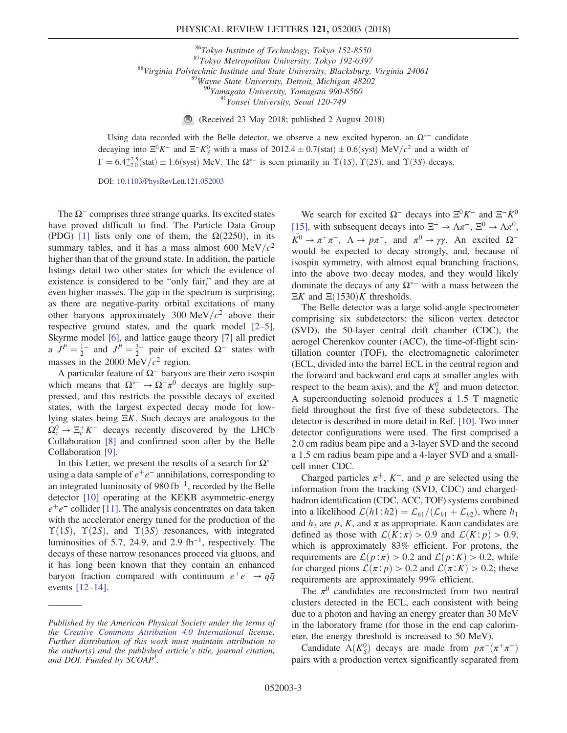## PHYSICAL REVIEW LETTERS 121, 052003 (2018)

<sup>86</sup>Tokyo Institute of Technology, Tokyo 152-8550<br><sup>87</sup>Tokyo Metropolitan University, Tokyo 192-0397<br><sup>88</sup>Virginia Polytechnic Institute and State University, Blacksburg, Virginia 24061<br><sup>89</sup>Wayne State University, Detroit,

(Received 23 May 2018; published 2 August 2018)

Using data recorded with the Belle detector, we observe a new excited hyperon, an  $\Omega^*$  candidate decaying into  $\Xi^0 K^-$  and  $\Xi^- K^0_S$  with a mass of 2012.4  $\pm$  0.7(stat)  $\pm$  0.6(syst) MeV/c<sup>2</sup> and a width of  $\Gamma = 6.4_{-2.0}^{+2.5}$ (stat)  $\pm 1.6$ (syst) MeV. The  $\Omega^{*-}$  is seen primarily in  $\Upsilon(1S)$ ,  $\Upsilon(2S)$ , and  $\Upsilon(3S)$  decays.

DOI: [10.1103/PhysRevLett.121.052003](https://doi.org/10.1103/PhysRevLett.121.052003)

The  $\Omega$ <sup>-</sup> comprises three strange quarks. Its excited states have proved difficult to find. The Particle Data Group (PDG) [\[1\]](#page-5-0) lists only one of them, the  $\Omega(2250)$ , in its summary tables, and it has a mass almost 600 MeV/ $c^2$ higher than that of the ground state. In addition, the particle listings detail two other states for which the evidence of existence is considered to be "only fair," and they are at even higher masses. The gap in the spectrum is surprising, as there are negative-parity orbital excitations of many other baryons approximately 300 MeV/ $c^2$  above their respective ground states, and the quark model [\[2](#page-5-1)–5], Skyrme model [\[6\],](#page-5-2) and lattice gauge theory [\[7\]](#page-5-3) all predict a  $J^P = \frac{1}{2}$  and  $J^P = \frac{3}{2}$  pair of excited  $\Omega$ <sup>-</sup> states with masses in the 2000 MeV/ $c^2$  region.

A particular feature of  $\Omega$ <sup>-</sup> baryons are their zero isospin which means that  $\Omega^{*-} \to \Omega^- \pi^0$  decays are highly suppressed, and this restricts the possible decays of excited states, with the largest expected decay mode for lowlying states being ΞK. Such decays are analogous to the  $\Omega_c^0 \to \Xi_c^+ K^-$  decays recently discovered by the LHCb Collaboration [\[8\]](#page-5-4) and confirmed soon after by the Belle Collaboration [\[9\].](#page-5-5)

In this Letter, we present the results of a search for  $\Omega^{*-}$ using a data sample of  $e^+e^-$  annihilations, corresponding to an integrated luminosity of 980 fb<sup>−</sup><sup>1</sup>, recorded by the Belle detector [\[10\]](#page-5-6) operating at the KEKB asymmetric-energy  $e^+e^-$  collider [\[11\].](#page-5-7) The analysis concentrates on data taken with the accelerator energy tuned for the production of the  $\Upsilon(1S)$ ,  $\Upsilon(2S)$ , and  $\Upsilon(3S)$  resonances, with integrated luminosities of 5.7, 24.9, and 2.9 fb<sup>-1</sup>, respectively. The decays of these narrow resonances proceed via gluons, and it has long been known that they contain an enhanced baryon fraction compared with continuum  $e^+e^- \rightarrow q\bar{q}$ events [12–[14\].](#page-6-0)

We search for excited  $\Omega^-$  decays into  $\Xi^0 K^-$  and  $\Xi^- \bar{K}^0$ [\[15\]](#page-6-1), with subsequent decays into  $\Xi^- \to \Lambda \pi^-, \Xi^0 \to \Lambda \pi^0$ ,  $\overline{K}$ <sup>0</sup> →  $\pi^+ \pi^-$ ,  $\Lambda \to p \pi^-$ , and  $\pi$ <sup>0</sup> →  $\gamma \gamma$ . An excited  $\Omega^$ would be expected to decay strongly, and, because of isospin symmetry, with almost equal branching fractions, into the above two decay modes, and they would likely dominate the decays of any  $\Omega^{*-}$  with a mass between the  $\Xi K$  and  $\Xi(1530)K$  thresholds.

The Belle detector was a large solid-angle spectrometer comprising six subdetectors: the silicon vertex detector (SVD), the 50-layer central drift chamber (CDC), the aerogel Cherenkov counter (ACC), the time-of-flight scintillation counter (TOF), the electromagnetic calorimeter (ECL, divided into the barrel ECL in the central region and the forward and backward end caps at smaller angles with respect to the beam axis), and the  $K<sub>L</sub><sup>0</sup>$  and muon detector. A superconducting solenoid produces a 1.5 T magnetic field throughout the first five of these subdetectors. The detector is described in more detail in Ref. [\[10\]](#page-5-6). Two inner detector configurations were used. The first comprised a 2.0 cm radius beam pipe and a 3-layer SVD and the second a 1.5 cm radius beam pipe and a 4-layer SVD and a smallcell inner CDC.

Charged particles  $\pi^{\pm}$ , K<sup>-</sup>, and p are selected using the information from the tracking (SVD, CDC) and chargedhadron identification (CDC, ACC, TOF) systems combined into a likelihood  $\mathcal{L}(h1:h2) = \mathcal{L}_{h1}/(\mathcal{L}_{h1} + \mathcal{L}_{h2})$ , where  $h_1$ and  $h_2$  are p, K, and  $\pi$  as appropriate. Kaon candidates are defined as those with  $\mathcal{L}(K:\pi) > 0.9$  and  $\mathcal{L}(K:p) > 0.9$ , which is approximately 83% efficient. For protons, the requirements are  $\mathcal{L}(p:\pi) > 0.2$  and  $\mathcal{L}(p:K) > 0.2$ , while for charged pions  $\mathcal{L}(\pi; p) > 0.2$  and  $\mathcal{L}(\pi; K) > 0.2$ ; these requirements are approximately 99% efficient.

The  $\pi^0$  candidates are reconstructed from two neutral clusters detected in the ECL, each consistent with being due to a photon and having an energy greater than 30 MeV in the laboratory frame (for those in the end cap calorimeter, the energy threshold is increased to 50 MeV).

Candidate  $\Lambda(K_S^0)$  decays are made from  $p\pi^-(\pi^+\pi^-)$ pairs with a production vertex significantly separated from

Published by the American Physical Society under the terms of the [Creative Commons Attribution 4.0 International](https://creativecommons.org/licenses/by/4.0/) license. Further distribution of this work must maintain attribution to the author(s) and the published article's title, journal citation, and DOI. Funded by SCOAP<sup>3</sup>.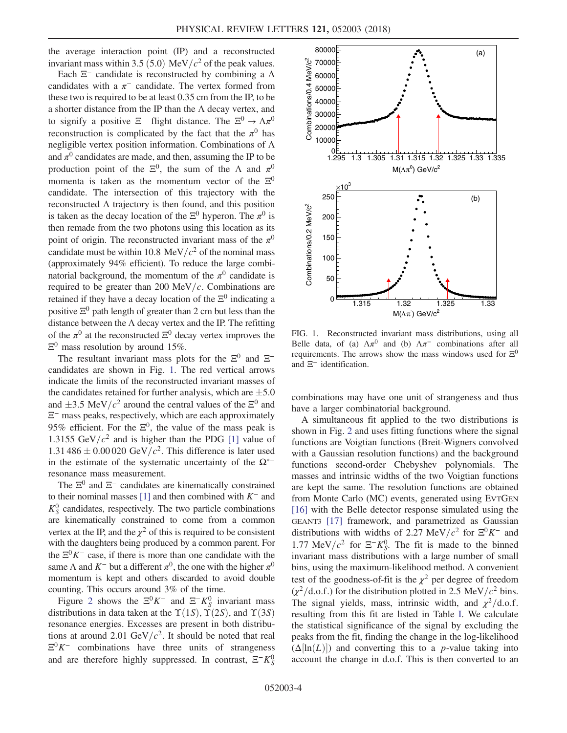the average interaction point (IP) and a reconstructed invariant mass within 3.5 (5.0) MeV/ $c^2$  of the peak values.

Each  $\Xi^-$  candidate is reconstructed by combining a  $\Lambda$ candidates with a  $\pi^-$  candidate. The vertex formed from these two is required to be at least 0.35 cm from the IP, to be a shorter distance from the IP than the  $\Lambda$  decay vertex, and to signify a positive  $\Xi^-$  flight distance. The  $\Xi^0 \to \Lambda \pi^0$ reconstruction is complicated by the fact that the  $\pi^0$  has negligible vertex position information. Combinations of Λ and  $\pi^0$  candidates are made, and then, assuming the IP to be production point of the  $\Xi^0$ , the sum of the  $\Lambda$  and  $\pi^0$ momenta is taken as the momentum vector of the  $\Xi^0$ candidate. The intersection of this trajectory with the reconstructed Λ trajectory is then found, and this position is taken as the decay location of the  $\Xi^0$  hyperon. The  $\pi^0$  is then remade from the two photons using this location as its point of origin. The reconstructed invariant mass of the  $\pi^0$ candidate must be within 10.8 MeV/ $c<sup>2</sup>$  of the nominal mass (approximately 94% efficient). To reduce the large combinatorial background, the momentum of the  $\pi^0$  candidate is required to be greater than 200 MeV/ $c$ . Combinations are retained if they have a decay location of the  $\Xi^0$  indicating a positive  $\Xi^0$  path length of greater than 2 cm but less than the distance between the  $\Lambda$  decay vertex and the IP. The refitting of the  $\pi^0$  at the reconstructed  $\Xi^0$  decay vertex improves the  $\Xi^0$  mass resolution by around 15%.

The resultant invariant mass plots for the  $\Xi^0$  and  $\Xi^$ candidates are shown in Fig. [1](#page-3-0). The red vertical arrows indicate the limits of the reconstructed invariant masses of the candidates retained for further analysis, which are  $\pm 5.0$ and  $\pm 3.5$  MeV/ $c^2$  around the central values of the  $\Xi^0$  and Ξ<sup>−</sup> mass peaks, respectively, which are each approximately 95% efficient. For the  $\Xi^0$ , the value of the mass peak is 1.3155 GeV/ $c^2$  and is higher than the PDG [\[1\]](#page-5-0) value of 1.31 486  $\pm$  0.00 020 GeV/ $c^2$ . This difference is later used in the estimate of the systematic uncertainty of the  $\Omega^*$ resonance mass measurement.

The  $\Xi^0$  and  $\Xi^-$  candidates are kinematically constrained to their nominal masses [\[1\]](#page-5-0) and then combined with  $K^-$  and  $K_S^0$  candidates, respectively. The two particle combinations are kinematically constrained to come from a common vertex at the IP, and the  $\chi^2$  of this is required to be consistent with the daughters being produced by a common parent. For the  $\Xi^{0}K^{-}$  case, if there is more than one candidate with the same  $\Lambda$  and  $K^-$  but a different  $\pi^0$ , the one with the higher  $\pi^0$ momentum is kept and others discarded to avoid double counting. This occurs around 3% of the time.

Figure [2](#page-4-0) shows the  $\Xi^0 K^-$  and  $\Xi^- K^0_S$  invariant mass distributions in data taken at the  $\Upsilon(1S)$ ,  $\Upsilon(2S)$ , and  $\Upsilon(3S)$ resonance energies. Excesses are present in both distributions at around 2.01 GeV/ $c^2$ . It should be noted that real  $\Xi^0 K^-$  combinations have three units of strangeness and are therefore highly suppressed. In contrast,  $\Xi^- K^0_S$ 

<span id="page-3-0"></span>

FIG. 1. Reconstructed invariant mass distributions, using all Belle data, of (a)  $\Lambda \pi^0$  and (b)  $\Lambda \pi^-$  combinations after all requirements. The arrows show the mass windows used for  $\Xi^0$ and  $\Xi$ <sup>−</sup> identification.

combinations may have one unit of strangeness and thus have a larger combinatorial background.

A simultaneous fit applied to the two distributions is shown in Fig. [2](#page-4-0) and uses fitting functions where the signal functions are Voigtian functions (Breit-Wigners convolved with a Gaussian resolution functions) and the background functions second-order Chebyshev polynomials. The masses and intrinsic widths of the two Voigtian functions are kept the same. The resolution functions are obtained from Monte Carlo (MC) events, generated using EVTGEN [\[16\]](#page-6-2) with the Belle detector response simulated using the GEANT3 [\[17\]](#page-6-3) framework, and parametrized as Gaussian distributions with widths of 2.27 MeV/ $c^2$  for  $\Xi^0 K^-$  and 1.77 MeV/ $c^2$  for  $\Xi^- K^0_S$ . The fit is made to the binned invariant mass distributions with a large number of small bins, using the maximum-likelihood method. A convenient test of the goodness-of-fit is the  $\chi^2$  per degree of freedom  $(\chi^2/\text{d.o.f.})$  for the distribution plotted in 2.5 MeV/ $c^2$  bins. The signal yields, mass, intrinsic width, and  $\chi^2/\text{d.o.f.}$ resulting from this fit are listed in Table [I.](#page-4-1) We calculate the statistical significance of the signal by excluding the peaks from the fit, finding the change in the log-likelihood  $(\Delta[\ln(L)])$  and converting this to a *p*-value taking into account the change in d.o.f. This is then converted to an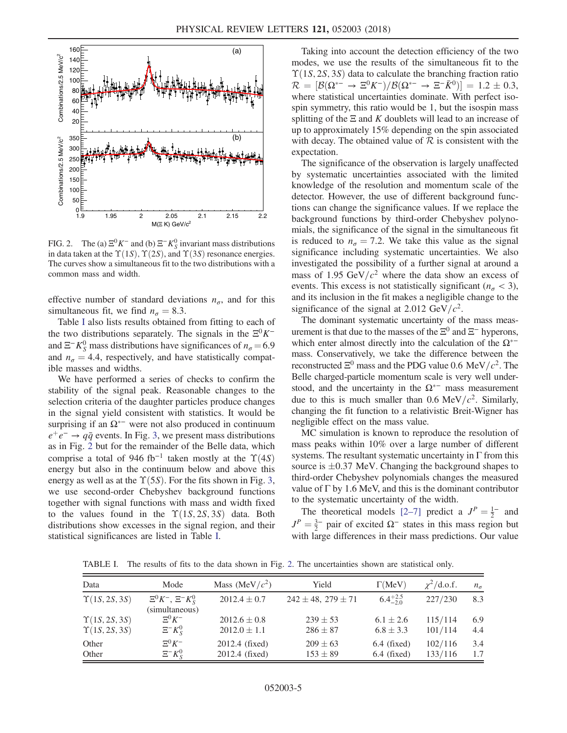<span id="page-4-0"></span>

FIG. 2. The (a)  $\Xi^0 K^-$  and (b)  $\Xi^- K^0_S$  invariant mass distributions in data taken at the  $\Upsilon(1S)$ ,  $\Upsilon(2S)$ , and  $\Upsilon(3S)$  resonance energies. The curves show a simultaneous fit to the two distributions with a common mass and width.

effective number of standard deviations  $n_{\sigma}$ , and for this simultaneous fit, we find  $n_{\sigma} = 8.3$ .

Table [I](#page-4-1) also lists results obtained from fitting to each of the two distributions separately. The signals in the  $\Xi^{0}K^{-}$ and  $\Xi^- K_S^0$  mass distributions have significances of  $n_\sigma = 6.9$ and  $n_{\sigma} = 4.4$ , respectively, and have statistically compatible masses and widths.

We have performed a series of checks to confirm the stability of the signal peak. Reasonable changes to the selection criteria of the daughter particles produce changes in the signal yield consistent with statistics. It would be surprising if an  $\Omega^{*-}$  were not also produced in continuum  $e^+e^- \rightarrow q\bar{q}$  events. In Fig. [3,](#page-5-8) we present mass distributions as in Fig. [2](#page-4-0) but for the remainder of the Belle data, which comprise a total of 946 fb<sup>-1</sup> taken mostly at the  $\Upsilon(4S)$ energy but also in the continuum below and above this energy as well as at the  $\Upsilon(5S)$ . For the fits shown in Fig. [3](#page-5-8), we use second-order Chebyshev background functions together with signal functions with mass and width fixed to the values found in the  $\Upsilon(1S, 2S, 3S)$  data. Both distributions show excesses in the signal region, and their statistical significances are listed in Table [I](#page-4-1).

Taking into account the detection efficiency of the two modes, we use the results of the simultaneous fit to the  $\Upsilon(1S, 2S, 3S)$  data to calculate the branching fraction ratio  $\mathcal{R} = [\mathcal{B}(\Omega^{*-} \to \Xi^0 K^-)/\mathcal{B}(\Omega^{*-} \to \Xi^- \bar{K}^0)] = 1.2 \pm 0.3,$ where statistical uncertainties dominate. With perfect isospin symmetry, this ratio would be 1, but the isospin mass splitting of the  $\Xi$  and K doublets will lead to an increase of up to approximately 15% depending on the spin associated with decay. The obtained value of  $R$  is consistent with the expectation.

The significance of the observation is largely unaffected by systematic uncertainties associated with the limited knowledge of the resolution and momentum scale of the detector. However, the use of different background functions can change the significance values. If we replace the background functions by third-order Chebyshev polynomials, the significance of the signal in the simultaneous fit is reduced to  $n<sub>\sigma</sub> = 7.2$ . We take this value as the signal significance including systematic uncertainties. We also investigated the possibility of a further signal at around a mass of 1.95 GeV/ $c^2$  where the data show an excess of events. This excess is not statistically significant ( $n<sub>\sigma</sub> < 3$ ), and its inclusion in the fit makes a negligible change to the significance of the signal at 2.012 GeV/ $c^2$ .

The dominant systematic uncertainty of the mass measurement is that due to the masses of the  $\Xi^0$  and  $\Xi^-$  hyperons, which enter almost directly into the calculation of the  $\Omega$ <sup> $-$ </sup> mass. Conservatively, we take the difference between the reconstructed  $\Xi^0$  mass and the PDG value 0.6 MeV/ $c^2$ . The Belle charged-particle momentum scale is very well understood, and the uncertainty in the  $\Omega^{*-}$  mass measurement due to this is much smaller than 0.6 MeV/ $c^2$ . Similarly, changing the fit function to a relativistic Breit-Wigner has negligible effect on the mass value.

MC simulation is known to reproduce the resolution of mass peaks within 10% over a large number of different systems. The resultant systematic uncertainty in  $\Gamma$  from this source is  $\pm 0.37$  MeV. Changing the background shapes to third-order Chebyshev polynomials changes the measured value of  $\Gamma$  by 1.6 MeV, and this is the dominant contributor to the systematic uncertainty of the width.

The theoretical models [\[2](#page-5-1)–7] predict a  $J^P = \frac{1}{2}^-$  and  $J<sup>P</sup> = \frac{3}{2}$  pair of excited  $\Omega$ <sup>-</sup> states in this mass region but with large differences in their mass predictions. Our value

<span id="page-4-1"></span>TABLE I. The results of fits to the data shown in Fig. [2](#page-4-0). The uncertainties shown are statistical only.

| Data                   | Mode                                                    | Mass (MeV/ $c^2$ ) | Yield                       | $\Gamma$ (MeV)      | $\chi^2$ /d.o.f. | $n_{\sigma}$ |
|------------------------|---------------------------------------------------------|--------------------|-----------------------------|---------------------|------------------|--------------|
| $\Upsilon(1S, 2S, 3S)$ | $\Xi^{0} K^{-}$ , $\Xi^{-} K_{S}^{0}$<br>(simultaneous) | $2012.4 \pm 0.7$   | $242 \pm 48$ , $279 \pm 71$ | $6.4^{+2.5}_{-2.0}$ | 227/230          | 8.3          |
| $\Upsilon(1S, 2S, 3S)$ | $\Xi^0 K^-$                                             | $2012.6 \pm 0.8$   | $239 \pm 53$                | $6.1 \pm 2.6$       | 115/114          | 6.9          |
| $\Upsilon(1S, 2S, 3S)$ | $\Xi^-K^0_S$                                            | $2012.0 \pm 1.1$   | $286 \pm 87$                | $6.8 \pm 3.3$       | 101/114          | 4.4          |
| Other                  | $\Xi^0 K^-$                                             | 2012.4 (fixed)     | $209 \pm 63$                | $6.4$ (fixed)       | 102/116          | 3.4          |
| Other                  | $\Xi^-K_{\rm s}^0$                                      | 2012.4 (fixed)     | $153 \pm 89$                | $6.4$ (fixed)       | 133/116          | 1.7          |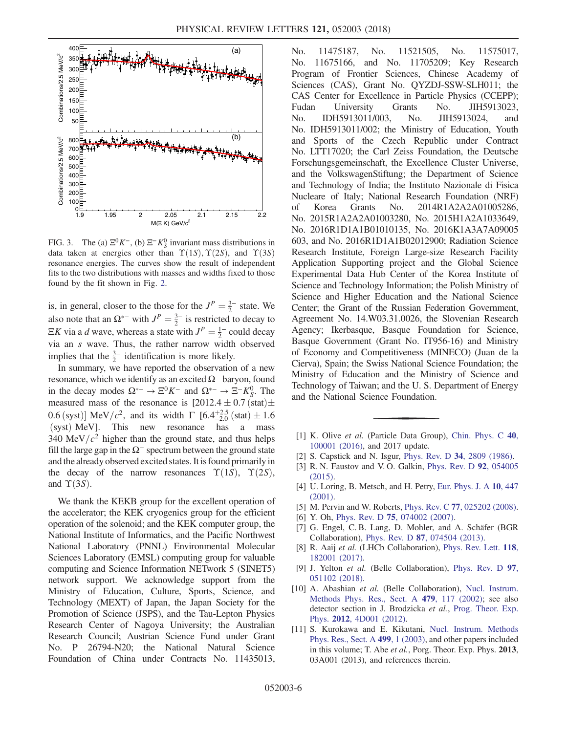<span id="page-5-8"></span>

FIG. 3. The (a)  $\Xi^0 K^-$ , (b)  $\Xi^- K^0_S$  invariant mass distributions in data taken at energies other than  $\Upsilon(1S)$ ,  $\Upsilon(2S)$ , and  $\Upsilon(3S)$ resonance energies. The curves show the result of independent fits to the two distributions with masses and widths fixed to those found by the fit shown in Fig. [2](#page-4-0).

is, in general, closer to the those for the  $J^P = \frac{3}{2}$  state. We also note that an  $\Omega^{*-}$  with  $J^P = \frac{3}{2}^-$  is restricted to decay to  $\Xi K$  via a d wave, whereas a state with  $J^P = \frac{1}{2}$  could decay via an s wave. Thus, the rather narrow width observed implies that the  $\frac{3}{2}$  identification is more likely.

In summary, we have reported the observation of a new resonance, which we identify as an excited  $\Omega^-$  baryon, found in the decay modes  $\Omega^{*-} \to \Xi^0 K^-$  and  $\Omega^{*-} \to \Xi^- K_S^0$ . The measured mass of the resonance is  $[2012.4 \pm 0.7 \text{ (stat)} \pm$ 0.6 (syst)] MeV/ $c^2$ , and its width  $\Gamma$  [6.4<sup>+2.5</sup> (stat)  $\pm$  1.6 (syst) MeV]. This new resonance has a mass (syst) MeV]. This new resonance has 340 MeV/ $c^2$  higher than the ground state, and thus helps fill the large gap in the  $\Omega^-$  spectrum between the ground state and the already observed excited states. It is found primarily in the decay of the narrow resonances  $\Upsilon(1S)$ ,  $\Upsilon(2S)$ , and  $\Upsilon(3S)$ .

We thank the KEKB group for the excellent operation of the accelerator; the KEK cryogenics group for the efficient operation of the solenoid; and the KEK computer group, the National Institute of Informatics, and the Pacific Northwest National Laboratory (PNNL) Environmental Molecular Sciences Laboratory (EMSL) computing group for valuable computing and Science Information NETwork 5 (SINET5) network support. We acknowledge support from the Ministry of Education, Culture, Sports, Science, and Technology (MEXT) of Japan, the Japan Society for the Promotion of Science (JSPS), and the Tau-Lepton Physics Research Center of Nagoya University; the Australian Research Council; Austrian Science Fund under Grant No. P 26794-N20; the National Natural Science Foundation of China under Contracts No. 11435013, No. 11475187, No. 11521505, No. 11575017, No. 11675166, and No. 11705209; Key Research Program of Frontier Sciences, Chinese Academy of Sciences (CAS), Grant No. QYZDJ-SSW-SLH011; the CAS Center for Excellence in Particle Physics (CCEPP); Fudan University Grants No. JIH5913023, No. IDH5913011/003, No. JIH5913024, and No. IDH5913011/002; the Ministry of Education, Youth and Sports of the Czech Republic under Contract No. LTT17020; the Carl Zeiss Foundation, the Deutsche Forschungsgemeinschaft, the Excellence Cluster Universe, and the VolkswagenStiftung; the Department of Science and Technology of India; the Instituto Nazionale di Fisica Nucleare of Italy; National Research Foundation (NRF) of Korea Grants No. 2014R1A2A2A01005286, No. 2015R1A2A2A01003280, No. 2015H1A2A1033649, No. 2016R1D1A1B01010135, No. 2016K1A3A7A09005 603, and No. 2016R1D1A1B02012900; Radiation Science Research Institute, Foreign Large-size Research Facility Application Supporting project and the Global Science Experimental Data Hub Center of the Korea Institute of Science and Technology Information; the Polish Ministry of Science and Higher Education and the National Science Center; the Grant of the Russian Federation Government, Agreement No. 14.W03.31.0026, the Slovenian Research Agency; Ikerbasque, Basque Foundation for Science, Basque Government (Grant No. IT956-16) and Ministry of Economy and Competitiveness (MINECO) (Juan de la Cierva), Spain; the Swiss National Science Foundation; the Ministry of Education and the Ministry of Science and Technology of Taiwan; and the U. S. Department of Energy and the National Science Foundation.

- <span id="page-5-0"></span>[1] K. Olive et al. (Particle Data Group), [Chin. Phys. C](https://doi.org/10.1088/1674-1137/40/10/100001) 40, [100001 \(2016\),](https://doi.org/10.1088/1674-1137/40/10/100001) and 2017 update.
- <span id="page-5-1"></span>[2] S. Capstick and N. Isgur, Phys. Rev. D 34[, 2809 \(1986\)](https://doi.org/10.1103/PhysRevD.34.2809).
- [3] R. N. Faustov and V. O. Galkin, *[Phys. Rev. D](https://doi.org/10.1103/PhysRevD.92.054005)* 92, 054005 [\(2015\).](https://doi.org/10.1103/PhysRevD.92.054005)
- [4] U. Loring, B. Metsch, and H. Petry, [Eur. Phys. J. A](https://doi.org/10.1007/s100500170106) 10, 447 [\(2001\).](https://doi.org/10.1007/s100500170106)
- <span id="page-5-2"></span>[5] M. Pervin and W. Roberts, Phys. Rev. C 77[, 025202 \(2008\).](https://doi.org/10.1103/PhysRevC.77.025202)
- <span id="page-5-3"></span>[6] Y. Oh, Phys. Rev. D **75**[, 074002 \(2007\)](https://doi.org/10.1103/PhysRevD.75.074002).
- [7] G. Engel, C. B. Lang, D. Mohler, and A. Schäfer (BGR Collaboration), Phys. Rev. D 87[, 074504 \(2013\)](https://doi.org/10.1103/PhysRevD.87.074504).
- <span id="page-5-4"></span>[8] R. Aaij et al. (LHCb Collaboration), [Phys. Rev. Lett.](https://doi.org/10.1103/PhysRevLett.118.182001) 118, [182001 \(2017\).](https://doi.org/10.1103/PhysRevLett.118.182001)
- <span id="page-5-5"></span>[9] J. Yelton et al. (Belle Collaboration), [Phys. Rev. D](https://doi.org/10.1103/PhysRevD.97.051102) 97, [051102 \(2018\).](https://doi.org/10.1103/PhysRevD.97.051102)
- <span id="page-5-6"></span>[10] A. Abashian et al. (Belle Collaboration), [Nucl. Instrum.](https://doi.org/10.1016/S0168-9002(01)02013-7) [Methods Phys. Res., Sect. A](https://doi.org/10.1016/S0168-9002(01)02013-7) 479, 117 (2002); see also detector section in J. Brodzicka et al., [Prog. Theor. Exp.](https://doi.org/10.1093/ptep/pts072) Phys. 2012[, 4D001 \(2012\).](https://doi.org/10.1093/ptep/pts072)
- <span id="page-5-7"></span>[11] S. Kurokawa and E. Kikutani, [Nucl. Instrum. Methods](https://doi.org/10.1016/S0168-9002(02)01771-0) [Phys. Res., Sect. A](https://doi.org/10.1016/S0168-9002(02)01771-0) 499, 1 (2003), and other papers included in this volume; T. Abe *et al.*, Porg. Theor. Exp. Phys. 2013, 03A001 (2013), and references therein.